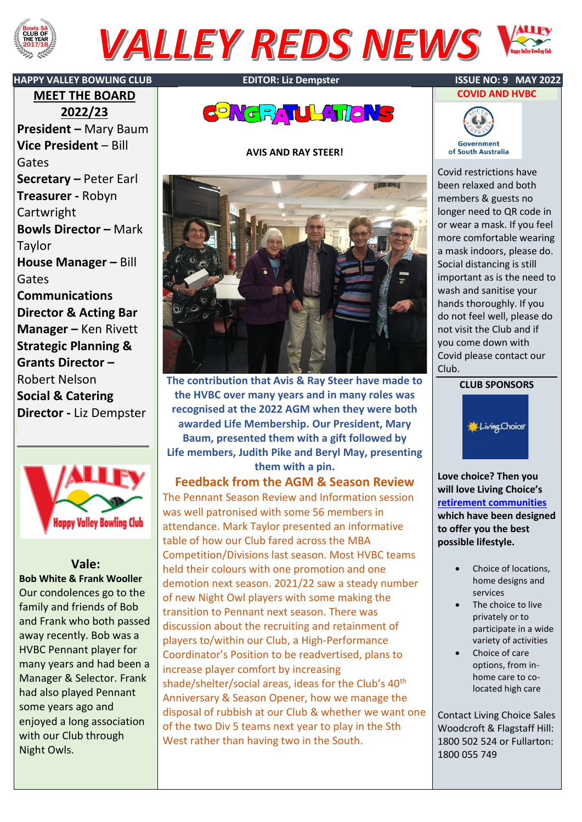

# **VALLEY REDS NEWS**



**MEET THE BOARD 2022/23 President –** Mary Baum **Vice President** – Bill Gates **Secretary –** Peter Earl **Treasurer -** Robyn Cartwright **Bowls Director –** Mark Taylor **House Manager –** Bill Gates **Communications Director & Acting Bar Manager –** Ken Rivett **Strategic Planning & Grants Director –** Robert Nelson **Social & Catering Director -** Liz Dempster



\_\_\_\_\_\_\_\_\_\_\_\_\_\_\_\_\_\_\_\_\_\_\_\_\_\_\_

## **Vale:**

**Bob White & Frank Wooller** Our condolences go to the family and friends of Bob and Frank who both passed away recently. Bob was a HVBC Pennant player for many years and had been a Manager & Selector. Frank had also played Pennant some years ago and enjoyed a long association with our Club through Night Owls.



### **AVIS AND RAY STEER!**



**The contribution that Avis & Ray Steer have made to the HVBC over many years and in many roles was recognised at the 2022 AGM when they were both awarded Life Membership. Our President, Mary Baum, presented them with a gift followed by Life members, Judith Pike and Beryl May, presenting them with a pin.**

**Feedback from the AGM & Season Review** The Pennant Season Review and Information session was well patronised with some 56 members in attendance. Mark Taylor presented an informative table of how our Club fared across the MBA Competition/Divisions last season. Most HVBC teams held their colours with one promotion and one demotion next season. 2021/22 saw a steady number of new Night Owl players with some making the transition to Pennant next season. There was discussion about the recruiting and retainment of players to/within our Club, a High-Performance Coordinator's Position to be readvertised, plans to increase player comfort by increasing shade/shelter/social areas, ideas for the Club's 40<sup>th</sup> Anniversary & Season Opener, how we manage the disposal of rubbish at our Club & whether we want one of the two Div 5 teams next year to play in the Sth West rather than having two in the South.





Covid restrictions have been relaxed and both members & guests no longer need to QR code in or wear a mask. If you feel more comfortable wearing a mask indoors, please do. Social distancing is still important as is the need to wash and sanitise your hands thoroughly. If you do not feel well, please do not visit the Club and if you come down with Covid please contact our Club.





**Love choice? Then you will love Living Choice's [retirement communities](https://www.livingchoice.com.au/retirement-villages-australia/) which have been designed to offer you the best possible lifestyle.**

- Choice of locations, home designs and services
- The choice to live privately or to participate in a wide variety of activities
- Choice of care options, from inhome care to colocated high care

Contact Living Choice Sales Woodcroft & Flagstaff Hill: 1800 502 524 or Fullarton: 1800 055 749